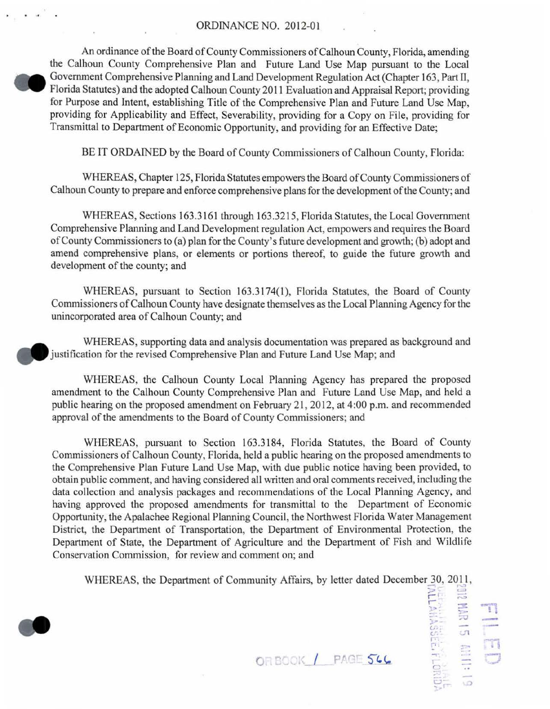## ORDINANCE NO. 2012-01

An ordinance of the Board of County Commissioners of Calhoun County, Florida, amending the Calhoun County Comprehensive Plan and Future Land Use Map pursuant to the Local Government Comprehensive Planning and Land Development Regulation Act (Chapter 163, Part 11, Florida Statutes) and the adopted Calhoun County 2011 Evaluation and Appraisal Report; providing for Purpose and Intent, establishing Title of the Comprehensive Plan and Future Land Use Map, providing for Applicability and Effect, Severability, providing for a Copy on File, providing for Transmittal to Department of Economic Opportunity, and providing for an Effective Date;

BE IT ORDAINED by the Board of County Commissioners of Calhoun County, Florida:

WHEREAS, Chapter 125, Florida Statutes empowers the Board of County Commissioners of Calhoun County to prepare and enforce comprehensive plans for the development of the County; and

WHEREAS, Sections 163.3161 through 163.3215, Florida Statutes, the Local Government Comprehensive Planning and Land Development regulation Act, empowers and requires the Board of County Commissioners to (a) plan for the County's future development and growth; (b) adopt and amend comprehensive plans, or elements or portions thereof, to guide the future growth and development of the county; and

WHEREAS, pursuant to Section 163.3174(1), Florida Statutes, the Board of County Commissioners of Calhoun County have designate themselves as the Local Planning Agency for the unincorporated area of Calhoun County; and

WHEREAS, supporting data and analysis documentation was prepared as background and justification for the revised Comprehensive Plan and Future Land Use Map; and

WHEREAS, the Calhoun County Local Planning Agency has prepared the proposed amendment to the Calhoun County Comprehensive Plan and Future Land Use Map, and held a public hearing on the proposed amendment on February 21, 2012, at 4:00 p.m. and recommended approval of the amendments to the Board of County Commissioners; and

WHEREAS, pursuant to Section 163.3184, Florida Statutes, the Board of County Commissioners of Calhoun County, Florida, held a public hearing on the proposed amendments to the Comprehensive Plan Future Land Use Map, with due public notice having been provided, to obtain public comment, and having considered all written and oral comments received, including the data collection and analysis packages and recommendations of the Local Planning Agency, and having approved the proposed amendments for transmittal to the Department of Economic Opportunity, the Apalachee Regional Planning Council, the Northwest Florida Water Management District, the Department of Transportation, the Department of Environmental Protection, the Department of State, the Department of Agriculture and the Department of Fish and Wildlife Conservation Commission, for review and comment on; and

WHEREAS, the Department of Community Affairs, by letter dated December 30, 2011,



**OR BOOK / PAGE 566** 

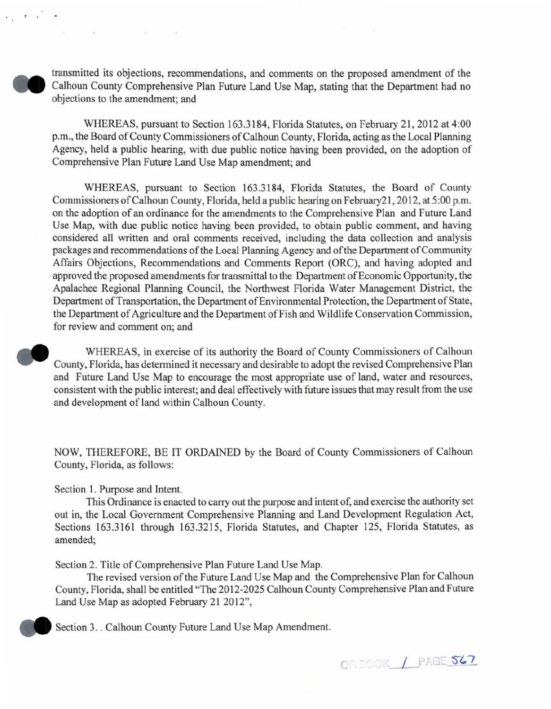transmitted its objections, recommendations, and comments on the proposed amendment of the Calhoun County Comprehensive Plan Future Land Use Map, stating that the Department had no objections to the amendment; and

WHEREAS, pursuant to Section 163.3184, Florida Statutes, on February 21, 2012 at 4:00 p.m., the Board of County Commissioners of Calhoun County, Florida, acting as the Local Planning Agency, held a public hearing, with due public notice having been provided, on the adoption of Comprehensive Plan Future Land Use Map amendment; and

WHEREAS, pursuant to Section 163.3184, Florida Statutes, the Board of County Commissioners of Calhoun County, Florida, held a public hearing on February 21, 2012, at 5:00 p.m. on the adoption of an ordinance for the amendments to the Comprehensive Plan and Future Land Use Map, with due public notice having been provided, to obtain public comment, and having considered all written and oral comments received, including the data collection and analysis packages and recommendations of the Local Planning Agency and of the Department of Community Affairs Objections, Recommendations and Comments Report (ORC), and having adopted and approved the proposed amendments for transmittal to the Department of Economic Opportunity, the Apalachee Regional Planning Council, the Northwest Florida Water Management District, the Department of Transportation, the Department of Environmental Protection, the Department of State, the Department of Agriculture and the Department of Fish and Wildlife Conservation Commission, for review and comment on; and

WHEREAS, in exercise of its authority the Board of County Commissioners of Calhoun County, Florida, has determined it necessary and desirable to adopt the revised Comprehensive Plan and Future Land Use Map to encourage the most appropriate use of land, water and resources, consistent with the public interest; and deal effectively with future issues that may result from the use and development of land within Calhoun County.

NOW, THEREFORE, BE IT ORDAINED by the Board of County Commissioners of Calhoun County, Florida, as follows:

Section 1. Purpose and Intent.

This Ordinance is enacted to carry out the purpose and intent of, and exercise the authority set out in, the Local Government Comprehensive Planning and Land Development Regulation Act, Sections 163.3161 through 163.3215, Florida Statutes, and Chapter 125, Florida Statutes, as amended;

Section 2. Title of Comprehensive Plan Future Land Use Map.

The revised version of the Future Land Use Map and the Comprehensive Plan for Calhoun County, Florida, shall be entitled "The 2012-2025 Calhoun County Comprehensive Plan and Future Land Use Map as adopted February 21 2012",

Section 3. . Calhoun County Future Land Use Map Amendment.